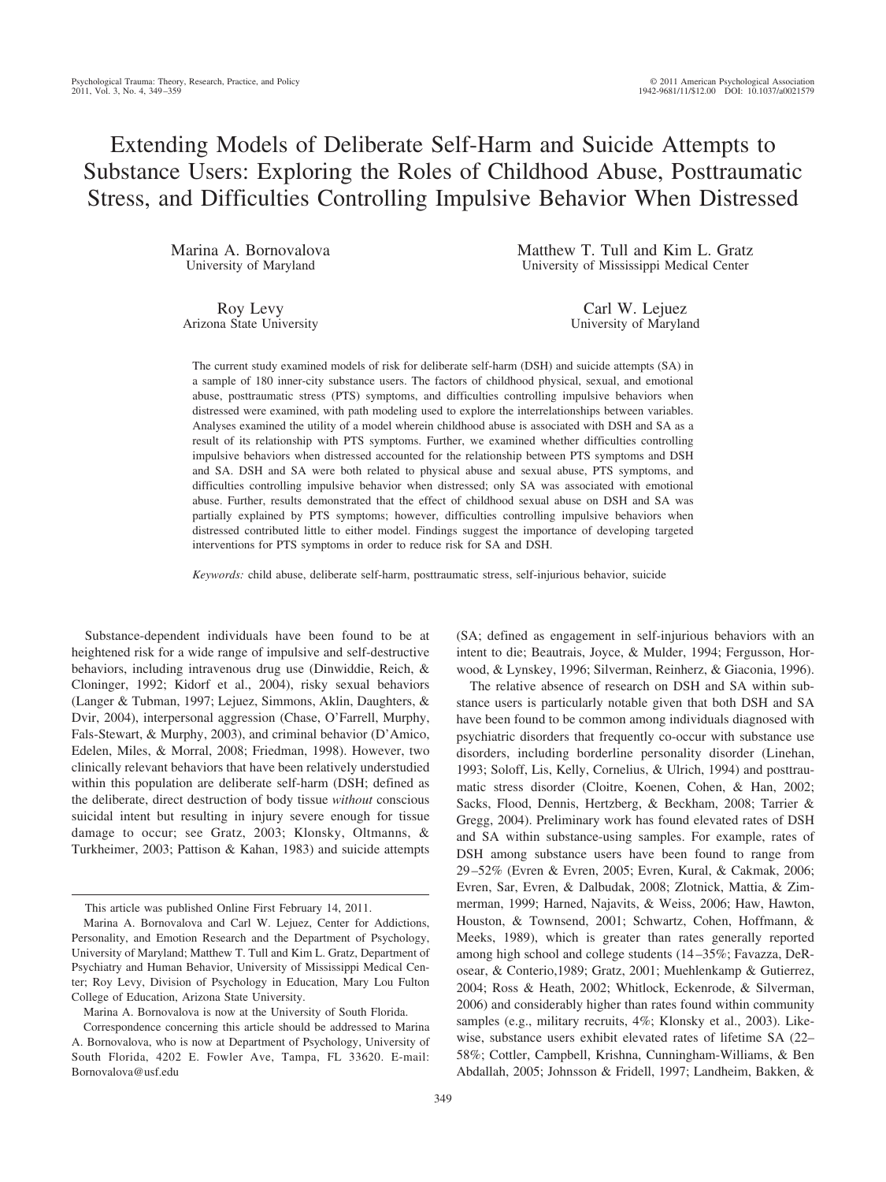# Extending Models of Deliberate Self-Harm and Suicide Attempts to Substance Users: Exploring the Roles of Childhood Abuse, Posttraumatic Stress, and Difficulties Controlling Impulsive Behavior When Distressed

Marina A. Bornovalova University of Maryland

Roy Levy Arizona State University Matthew T. Tull and Kim L. Gratz University of Mississippi Medical Center

> Carl W. Lejuez University of Maryland

The current study examined models of risk for deliberate self-harm (DSH) and suicide attempts (SA) in a sample of 180 inner-city substance users. The factors of childhood physical, sexual, and emotional abuse, posttraumatic stress (PTS) symptoms, and difficulties controlling impulsive behaviors when distressed were examined, with path modeling used to explore the interrelationships between variables. Analyses examined the utility of a model wherein childhood abuse is associated with DSH and SA as a result of its relationship with PTS symptoms. Further, we examined whether difficulties controlling impulsive behaviors when distressed accounted for the relationship between PTS symptoms and DSH and SA. DSH and SA were both related to physical abuse and sexual abuse, PTS symptoms, and difficulties controlling impulsive behavior when distressed; only SA was associated with emotional abuse. Further, results demonstrated that the effect of childhood sexual abuse on DSH and SA was partially explained by PTS symptoms; however, difficulties controlling impulsive behaviors when distressed contributed little to either model. Findings suggest the importance of developing targeted interventions for PTS symptoms in order to reduce risk for SA and DSH.

*Keywords:* child abuse, deliberate self-harm, posttraumatic stress, self-injurious behavior, suicide

Substance-dependent individuals have been found to be at heightened risk for a wide range of impulsive and self-destructive behaviors, including intravenous drug use (Dinwiddie, Reich, & Cloninger, 1992; Kidorf et al., 2004), risky sexual behaviors (Langer & Tubman, 1997; Lejuez, Simmons, Aklin, Daughters, & Dvir, 2004), interpersonal aggression (Chase, O'Farrell, Murphy, Fals-Stewart, & Murphy, 2003), and criminal behavior (D'Amico, Edelen, Miles, & Morral, 2008; Friedman, 1998). However, two clinically relevant behaviors that have been relatively understudied within this population are deliberate self-harm (DSH; defined as the deliberate, direct destruction of body tissue *without* conscious suicidal intent but resulting in injury severe enough for tissue damage to occur; see Gratz, 2003; Klonsky, Oltmanns, & Turkheimer, 2003; Pattison & Kahan, 1983) and suicide attempts

(SA; defined as engagement in self-injurious behaviors with an intent to die; Beautrais, Joyce, & Mulder, 1994; Fergusson, Horwood, & Lynskey, 1996; Silverman, Reinherz, & Giaconia, 1996).

The relative absence of research on DSH and SA within substance users is particularly notable given that both DSH and SA have been found to be common among individuals diagnosed with psychiatric disorders that frequently co-occur with substance use disorders, including borderline personality disorder (Linehan, 1993; Soloff, Lis, Kelly, Cornelius, & Ulrich, 1994) and posttraumatic stress disorder (Cloitre, Koenen, Cohen, & Han, 2002; Sacks, Flood, Dennis, Hertzberg, & Beckham, 2008; Tarrier & Gregg, 2004). Preliminary work has found elevated rates of DSH and SA within substance-using samples. For example, rates of DSH among substance users have been found to range from 29 –52% (Evren & Evren, 2005; Evren, Kural, & Cakmak, 2006; Evren, Sar, Evren, & Dalbudak, 2008; Zlotnick, Mattia, & Zimmerman, 1999; Harned, Najavits, & Weiss, 2006; Haw, Hawton, Houston, & Townsend, 2001; Schwartz, Cohen, Hoffmann, & Meeks, 1989), which is greater than rates generally reported among high school and college students (14 –35%; Favazza, DeRosear, & Conterio,1989; Gratz, 2001; Muehlenkamp & Gutierrez, 2004; Ross & Heath, 2002; Whitlock, Eckenrode, & Silverman, 2006) and considerably higher than rates found within community samples (e.g., military recruits, 4%; Klonsky et al., 2003). Likewise, substance users exhibit elevated rates of lifetime SA (22– 58%; Cottler, Campbell, Krishna, Cunningham-Williams, & Ben Abdallah, 2005; Johnsson & Fridell, 1997; Landheim, Bakken, &

This article was published Online First February 14, 2011.

Marina A. Bornovalova and Carl W. Lejuez, Center for Addictions, Personality, and Emotion Research and the Department of Psychology, University of Maryland; Matthew T. Tull and Kim L. Gratz, Department of Psychiatry and Human Behavior, University of Mississippi Medical Center; Roy Levy, Division of Psychology in Education, Mary Lou Fulton College of Education, Arizona State University.

Marina A. Bornovalova is now at the University of South Florida.

Correspondence concerning this article should be addressed to Marina A. Bornovalova, who is now at Department of Psychology, University of South Florida, 4202 E. Fowler Ave, Tampa, FL 33620. E-mail: Bornovalova@usf.edu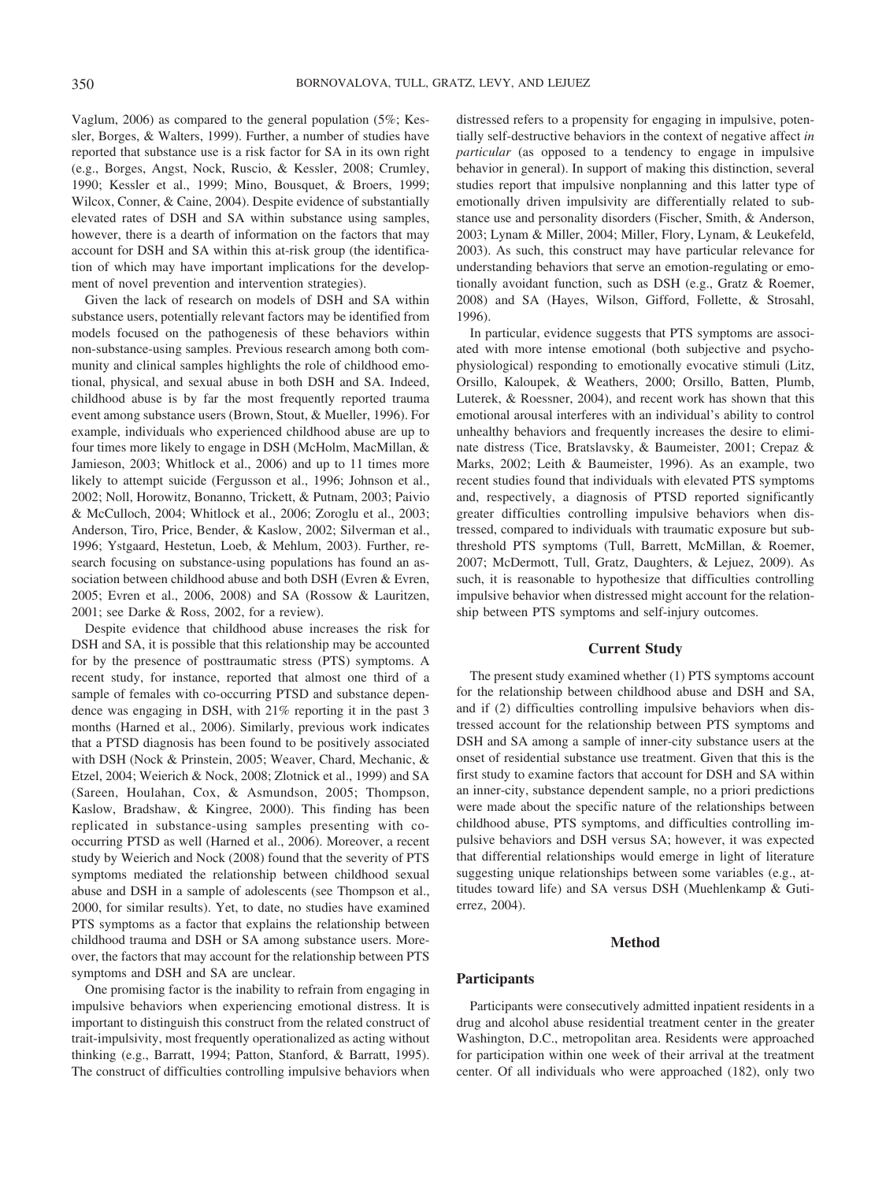Vaglum, 2006) as compared to the general population (5%; Kessler, Borges, & Walters, 1999). Further, a number of studies have reported that substance use is a risk factor for SA in its own right (e.g., Borges, Angst, Nock, Ruscio, & Kessler, 2008; Crumley, 1990; Kessler et al., 1999; Mino, Bousquet, & Broers, 1999; Wilcox, Conner, & Caine, 2004). Despite evidence of substantially elevated rates of DSH and SA within substance using samples, however, there is a dearth of information on the factors that may account for DSH and SA within this at-risk group (the identification of which may have important implications for the development of novel prevention and intervention strategies).

Given the lack of research on models of DSH and SA within substance users, potentially relevant factors may be identified from models focused on the pathogenesis of these behaviors within non-substance-using samples. Previous research among both community and clinical samples highlights the role of childhood emotional, physical, and sexual abuse in both DSH and SA. Indeed, childhood abuse is by far the most frequently reported trauma event among substance users (Brown, Stout, & Mueller, 1996). For example, individuals who experienced childhood abuse are up to four times more likely to engage in DSH (McHolm, MacMillan, & Jamieson, 2003; Whitlock et al., 2006) and up to 11 times more likely to attempt suicide (Fergusson et al., 1996; Johnson et al., 2002; Noll, Horowitz, Bonanno, Trickett, & Putnam, 2003; Paivio & McCulloch, 2004; Whitlock et al., 2006; Zoroglu et al., 2003; Anderson, Tiro, Price, Bender, & Kaslow, 2002; Silverman et al., 1996; Ystgaard, Hestetun, Loeb, & Mehlum, 2003). Further, research focusing on substance-using populations has found an association between childhood abuse and both DSH (Evren & Evren, 2005; Evren et al., 2006, 2008) and SA (Rossow & Lauritzen, 2001; see Darke & Ross, 2002, for a review).

Despite evidence that childhood abuse increases the risk for DSH and SA, it is possible that this relationship may be accounted for by the presence of posttraumatic stress (PTS) symptoms. A recent study, for instance, reported that almost one third of a sample of females with co-occurring PTSD and substance dependence was engaging in DSH, with 21% reporting it in the past 3 months (Harned et al., 2006). Similarly, previous work indicates that a PTSD diagnosis has been found to be positively associated with DSH (Nock & Prinstein, 2005; Weaver, Chard, Mechanic, & Etzel, 2004; Weierich & Nock, 2008; Zlotnick et al., 1999) and SA (Sareen, Houlahan, Cox, & Asmundson, 2005; Thompson, Kaslow, Bradshaw, & Kingree, 2000). This finding has been replicated in substance-using samples presenting with cooccurring PTSD as well (Harned et al., 2006). Moreover, a recent study by Weierich and Nock (2008) found that the severity of PTS symptoms mediated the relationship between childhood sexual abuse and DSH in a sample of adolescents (see Thompson et al., 2000, for similar results). Yet, to date, no studies have examined PTS symptoms as a factor that explains the relationship between childhood trauma and DSH or SA among substance users. Moreover, the factors that may account for the relationship between PTS symptoms and DSH and SA are unclear.

One promising factor is the inability to refrain from engaging in impulsive behaviors when experiencing emotional distress. It is important to distinguish this construct from the related construct of trait-impulsivity, most frequently operationalized as acting without thinking (e.g., Barratt, 1994; Patton, Stanford, & Barratt, 1995). The construct of difficulties controlling impulsive behaviors when

distressed refers to a propensity for engaging in impulsive, potentially self-destructive behaviors in the context of negative affect *in particular* (as opposed to a tendency to engage in impulsive behavior in general). In support of making this distinction, several studies report that impulsive nonplanning and this latter type of emotionally driven impulsivity are differentially related to substance use and personality disorders (Fischer, Smith, & Anderson, 2003; Lynam & Miller, 2004; Miller, Flory, Lynam, & Leukefeld, 2003). As such, this construct may have particular relevance for understanding behaviors that serve an emotion-regulating or emotionally avoidant function, such as DSH (e.g., Gratz & Roemer, 2008) and SA (Hayes, Wilson, Gifford, Follette, & Strosahl, 1996).

In particular, evidence suggests that PTS symptoms are associated with more intense emotional (both subjective and psychophysiological) responding to emotionally evocative stimuli (Litz, Orsillo, Kaloupek, & Weathers, 2000; Orsillo, Batten, Plumb, Luterek, & Roessner, 2004), and recent work has shown that this emotional arousal interferes with an individual's ability to control unhealthy behaviors and frequently increases the desire to eliminate distress (Tice, Bratslavsky, & Baumeister, 2001; Crepaz & Marks, 2002; Leith & Baumeister, 1996). As an example, two recent studies found that individuals with elevated PTS symptoms and, respectively, a diagnosis of PTSD reported significantly greater difficulties controlling impulsive behaviors when distressed, compared to individuals with traumatic exposure but subthreshold PTS symptoms (Tull, Barrett, McMillan, & Roemer, 2007; McDermott, Tull, Gratz, Daughters, & Lejuez, 2009). As such, it is reasonable to hypothesize that difficulties controlling impulsive behavior when distressed might account for the relationship between PTS symptoms and self-injury outcomes.

## **Current Study**

The present study examined whether (1) PTS symptoms account for the relationship between childhood abuse and DSH and SA, and if (2) difficulties controlling impulsive behaviors when distressed account for the relationship between PTS symptoms and DSH and SA among a sample of inner-city substance users at the onset of residential substance use treatment. Given that this is the first study to examine factors that account for DSH and SA within an inner-city, substance dependent sample, no a priori predictions were made about the specific nature of the relationships between childhood abuse, PTS symptoms, and difficulties controlling impulsive behaviors and DSH versus SA; however, it was expected that differential relationships would emerge in light of literature suggesting unique relationships between some variables (e.g., attitudes toward life) and SA versus DSH (Muehlenkamp & Gutierrez, 2004).

## **Method**

#### **Participants**

Participants were consecutively admitted inpatient residents in a drug and alcohol abuse residential treatment center in the greater Washington, D.C., metropolitan area. Residents were approached for participation within one week of their arrival at the treatment center. Of all individuals who were approached (182), only two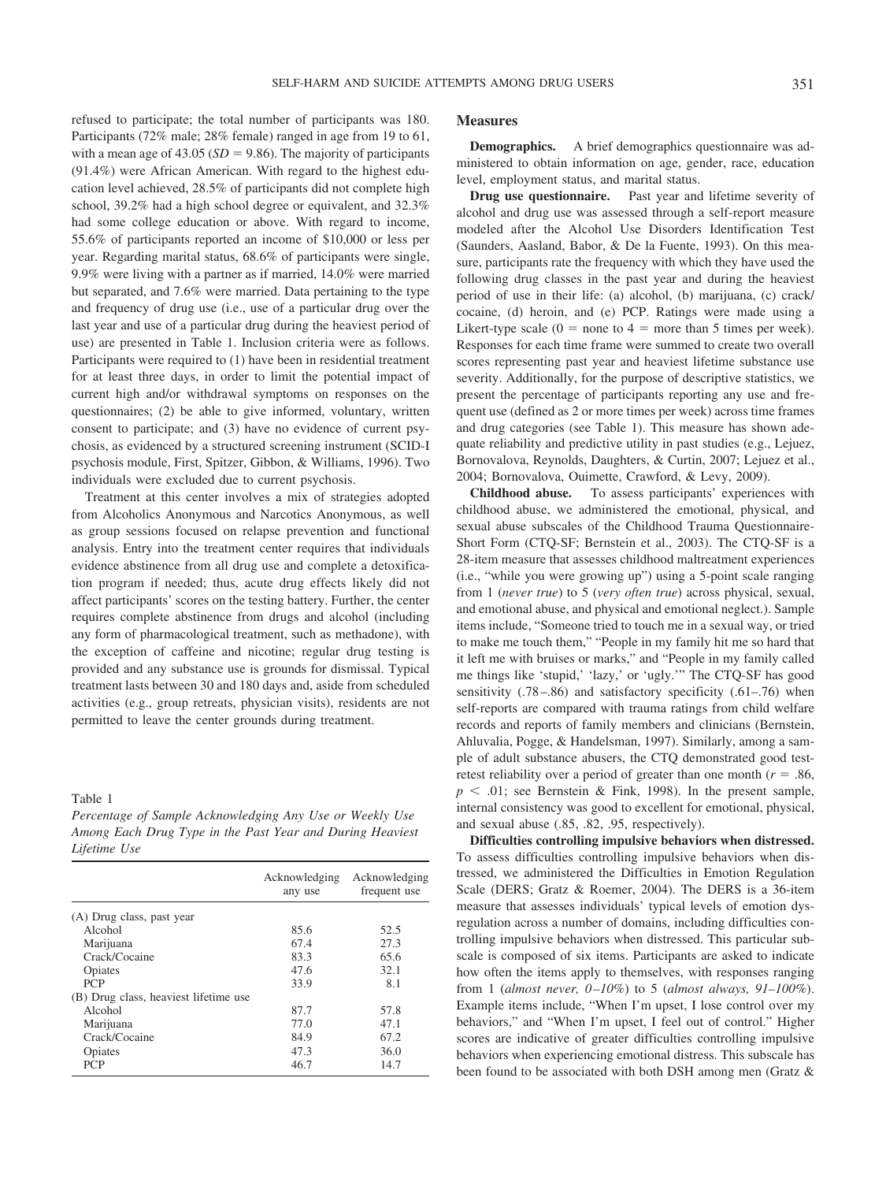refused to participate; the total number of participants was 180. Participants (72% male; 28% female) ranged in age from 19 to 61, with a mean age of  $43.05$  ( $SD = 9.86$ ). The majority of participants (91.4%) were African American. With regard to the highest education level achieved, 28.5% of participants did not complete high school, 39.2% had a high school degree or equivalent, and 32.3% had some college education or above. With regard to income, 55.6% of participants reported an income of \$10,000 or less per year. Regarding marital status, 68.6% of participants were single, 9.9% were living with a partner as if married, 14.0% were married but separated, and 7.6% were married. Data pertaining to the type and frequency of drug use (i.e., use of a particular drug over the last year and use of a particular drug during the heaviest period of use) are presented in Table 1. Inclusion criteria were as follows. Participants were required to (1) have been in residential treatment for at least three days, in order to limit the potential impact of current high and/or withdrawal symptoms on responses on the questionnaires; (2) be able to give informed, voluntary, written consent to participate; and (3) have no evidence of current psychosis, as evidenced by a structured screening instrument (SCID-I psychosis module, First, Spitzer, Gibbon, & Williams, 1996). Two individuals were excluded due to current psychosis.

Treatment at this center involves a mix of strategies adopted from Alcoholics Anonymous and Narcotics Anonymous, as well as group sessions focused on relapse prevention and functional analysis. Entry into the treatment center requires that individuals evidence abstinence from all drug use and complete a detoxification program if needed; thus, acute drug effects likely did not affect participants' scores on the testing battery. Further, the center requires complete abstinence from drugs and alcohol (including any form of pharmacological treatment, such as methadone), with the exception of caffeine and nicotine; regular drug testing is provided and any substance use is grounds for dismissal. Typical treatment lasts between 30 and 180 days and, aside from scheduled activities (e.g., group retreats, physician visits), residents are not permitted to leave the center grounds during treatment.

#### Table 1

*Percentage of Sample Acknowledging Any Use or Weekly Use Among Each Drug Type in the Past Year and During Heaviest Lifetime Use*

|                                       | Acknowledging<br>any use | Acknowledging<br>frequent use |
|---------------------------------------|--------------------------|-------------------------------|
| (A) Drug class, past year             |                          |                               |
| Alcohol                               | 85.6                     | 52.5                          |
| Marijuana                             | 67.4                     | 27.3                          |
| Crack/Cocaine                         | 83.3                     | 65.6                          |
| Opiates                               | 47.6                     | 32.1                          |
| <b>PCP</b>                            | 33.9                     | 8.1                           |
| (B) Drug class, heaviest lifetime use |                          |                               |
| Alcohol                               | 87.7                     | 57.8                          |
| Marijuana                             | 77.0                     | 47.1                          |
| Crack/Cocaine                         | 84.9                     | 67.2                          |
| Opiates                               | 47.3                     | 36.0                          |
| <b>PCP</b>                            | 46.7                     | 14.7                          |

#### **Measures**

**Demographics.** A brief demographics questionnaire was administered to obtain information on age, gender, race, education level, employment status, and marital status.

**Drug use questionnaire.** Past year and lifetime severity of alcohol and drug use was assessed through a self-report measure modeled after the Alcohol Use Disorders Identification Test (Saunders, Aasland, Babor, & De la Fuente, 1993). On this measure, participants rate the frequency with which they have used the following drug classes in the past year and during the heaviest period of use in their life: (a) alcohol, (b) marijuana, (c) crack/ cocaine, (d) heroin, and (e) PCP. Ratings were made using a Likert-type scale ( $0 =$  none to  $4 =$  more than 5 times per week). Responses for each time frame were summed to create two overall scores representing past year and heaviest lifetime substance use severity. Additionally, for the purpose of descriptive statistics, we present the percentage of participants reporting any use and frequent use (defined as 2 or more times per week) across time frames and drug categories (see Table 1). This measure has shown adequate reliability and predictive utility in past studies (e.g., Lejuez, Bornovalova, Reynolds, Daughters, & Curtin, 2007; Lejuez et al., 2004; Bornovalova, Ouimette, Crawford, & Levy, 2009).

**Childhood abuse.** To assess participants' experiences with childhood abuse, we administered the emotional, physical, and sexual abuse subscales of the Childhood Trauma Questionnaire-Short Form (CTQ-SF; Bernstein et al., 2003). The CTQ-SF is a 28-item measure that assesses childhood maltreatment experiences (i.e., "while you were growing up") using a 5-point scale ranging from 1 (*never true*) to 5 (*very often true*) across physical, sexual, and emotional abuse, and physical and emotional neglect.). Sample items include, "Someone tried to touch me in a sexual way, or tried to make me touch them," "People in my family hit me so hard that it left me with bruises or marks," and "People in my family called me things like 'stupid,' 'lazy,' or 'ugly.'" The CTQ-SF has good sensitivity (.78–.86) and satisfactory specificity (.61–.76) when self-reports are compared with trauma ratings from child welfare records and reports of family members and clinicians (Bernstein, Ahluvalia, Pogge, & Handelsman, 1997). Similarly, among a sample of adult substance abusers, the CTQ demonstrated good testretest reliability over a period of greater than one month ( $r = .86$ ,  $p \leq 0.01$ ; see Bernstein & Fink, 1998). In the present sample, internal consistency was good to excellent for emotional, physical, and sexual abuse (.85, .82, .95, respectively).

**Difficulties controlling impulsive behaviors when distressed.** To assess difficulties controlling impulsive behaviors when distressed, we administered the Difficulties in Emotion Regulation Scale (DERS; Gratz & Roemer, 2004). The DERS is a 36-item measure that assesses individuals' typical levels of emotion dysregulation across a number of domains, including difficulties controlling impulsive behaviors when distressed. This particular subscale is composed of six items. Participants are asked to indicate how often the items apply to themselves, with responses ranging from 1 (*almost never, 0 –10%*) to 5 (*almost always, 91–100%*). Example items include, "When I'm upset, I lose control over my behaviors," and "When I'm upset, I feel out of control." Higher scores are indicative of greater difficulties controlling impulsive behaviors when experiencing emotional distress. This subscale has been found to be associated with both DSH among men (Gratz &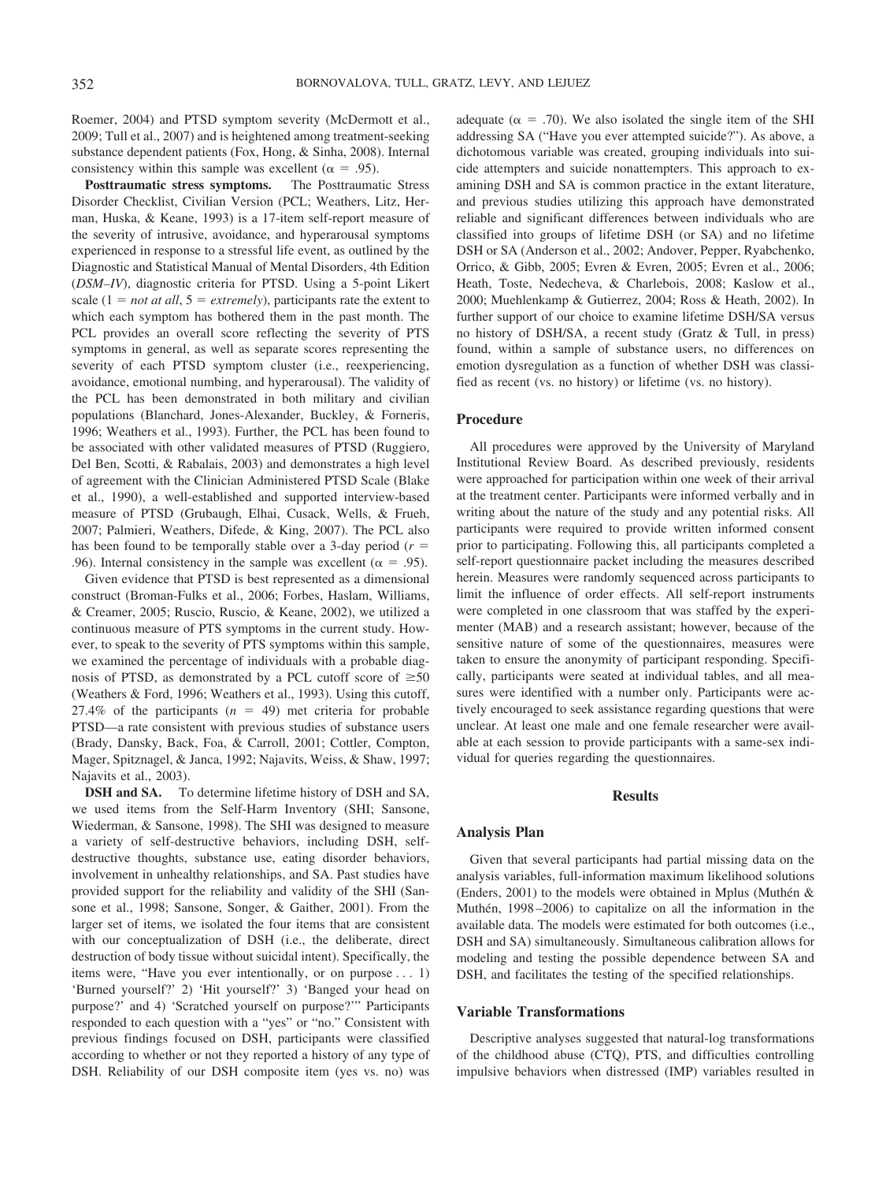Roemer, 2004) and PTSD symptom severity (McDermott et al., 2009; Tull et al., 2007) and is heightened among treatment-seeking substance dependent patients (Fox, Hong, & Sinha, 2008). Internal consistency within this sample was excellent ( $\alpha = .95$ ).

**Posttraumatic stress symptoms.** The Posttraumatic Stress Disorder Checklist, Civilian Version (PCL; Weathers, Litz, Herman, Huska, & Keane, 1993) is a 17-item self-report measure of the severity of intrusive, avoidance, and hyperarousal symptoms experienced in response to a stressful life event, as outlined by the Diagnostic and Statistical Manual of Mental Disorders, 4th Edition (*DSM–IV*), diagnostic criteria for PTSD. Using a 5-point Likert scale  $(1 = not at all, 5 = extremely)$ , participants rate the extent to which each symptom has bothered them in the past month. The PCL provides an overall score reflecting the severity of PTS symptoms in general, as well as separate scores representing the severity of each PTSD symptom cluster (i.e., reexperiencing, avoidance, emotional numbing, and hyperarousal). The validity of the PCL has been demonstrated in both military and civilian populations (Blanchard, Jones-Alexander, Buckley, & Forneris, 1996; Weathers et al., 1993). Further, the PCL has been found to be associated with other validated measures of PTSD (Ruggiero, Del Ben, Scotti, & Rabalais, 2003) and demonstrates a high level of agreement with the Clinician Administered PTSD Scale (Blake et al., 1990), a well-established and supported interview-based measure of PTSD (Grubaugh, Elhai, Cusack, Wells, & Frueh, 2007; Palmieri, Weathers, Difede, & King, 2007). The PCL also has been found to be temporally stable over a 3-day period (*r* .96). Internal consistency in the sample was excellent ( $\alpha = .95$ ).

Given evidence that PTSD is best represented as a dimensional construct (Broman-Fulks et al., 2006; Forbes, Haslam, Williams, & Creamer, 2005; Ruscio, Ruscio, & Keane, 2002), we utilized a continuous measure of PTS symptoms in the current study. However, to speak to the severity of PTS symptoms within this sample, we examined the percentage of individuals with a probable diagnosis of PTSD, as demonstrated by a PCL cutoff score of  $\geq 50$ (Weathers & Ford, 1996; Weathers et al., 1993). Using this cutoff, 27.4% of the participants  $(n = 49)$  met criteria for probable PTSD—a rate consistent with previous studies of substance users (Brady, Dansky, Back, Foa, & Carroll, 2001; Cottler, Compton, Mager, Spitznagel, & Janca, 1992; Najavits, Weiss, & Shaw, 1997; Najavits et al., 2003).

**DSH and SA.** To determine lifetime history of DSH and SA, we used items from the Self-Harm Inventory (SHI; Sansone, Wiederman, & Sansone, 1998). The SHI was designed to measure a variety of self-destructive behaviors, including DSH, selfdestructive thoughts, substance use, eating disorder behaviors, involvement in unhealthy relationships, and SA. Past studies have provided support for the reliability and validity of the SHI (Sansone et al., 1998; Sansone, Songer, & Gaither, 2001). From the larger set of items, we isolated the four items that are consistent with our conceptualization of DSH (i.e., the deliberate, direct destruction of body tissue without suicidal intent). Specifically, the items were, "Have you ever intentionally, or on purpose . . . 1) 'Burned yourself?' 2) 'Hit yourself?' 3) 'Banged your head on purpose?' and 4) 'Scratched yourself on purpose?'" Participants responded to each question with a "yes" or "no." Consistent with previous findings focused on DSH, participants were classified according to whether or not they reported a history of any type of DSH. Reliability of our DSH composite item (yes vs. no) was adequate ( $\alpha = .70$ ). We also isolated the single item of the SHI addressing SA ("Have you ever attempted suicide?"). As above, a dichotomous variable was created, grouping individuals into suicide attempters and suicide nonattempters. This approach to examining DSH and SA is common practice in the extant literature, and previous studies utilizing this approach have demonstrated reliable and significant differences between individuals who are classified into groups of lifetime DSH (or SA) and no lifetime DSH or SA (Anderson et al., 2002; Andover, Pepper, Ryabchenko, Orrico, & Gibb, 2005; Evren & Evren, 2005; Evren et al., 2006; Heath, Toste, Nedecheva, & Charlebois, 2008; Kaslow et al., 2000; Muehlenkamp & Gutierrez, 2004; Ross & Heath, 2002). In further support of our choice to examine lifetime DSH/SA versus no history of DSH/SA, a recent study (Gratz & Tull, in press) found, within a sample of substance users, no differences on emotion dysregulation as a function of whether DSH was classified as recent (vs. no history) or lifetime (vs. no history).

## **Procedure**

All procedures were approved by the University of Maryland Institutional Review Board. As described previously, residents were approached for participation within one week of their arrival at the treatment center. Participants were informed verbally and in writing about the nature of the study and any potential risks. All participants were required to provide written informed consent prior to participating. Following this, all participants completed a self-report questionnaire packet including the measures described herein. Measures were randomly sequenced across participants to limit the influence of order effects. All self-report instruments were completed in one classroom that was staffed by the experimenter (MAB) and a research assistant; however, because of the sensitive nature of some of the questionnaires, measures were taken to ensure the anonymity of participant responding. Specifically, participants were seated at individual tables, and all measures were identified with a number only. Participants were actively encouraged to seek assistance regarding questions that were unclear. At least one male and one female researcher were available at each session to provide participants with a same-sex individual for queries regarding the questionnaires.

# **Results**

#### **Analysis Plan**

Given that several participants had partial missing data on the analysis variables, full-information maximum likelihood solutions (Enders, 2001) to the models were obtained in Mplus (Muthén  $\&$ Muthén, 1998-2006) to capitalize on all the information in the available data. The models were estimated for both outcomes (i.e., DSH and SA) simultaneously. Simultaneous calibration allows for modeling and testing the possible dependence between SA and DSH, and facilitates the testing of the specified relationships.

### **Variable Transformations**

Descriptive analyses suggested that natural-log transformations of the childhood abuse (CTQ), PTS, and difficulties controlling impulsive behaviors when distressed (IMP) variables resulted in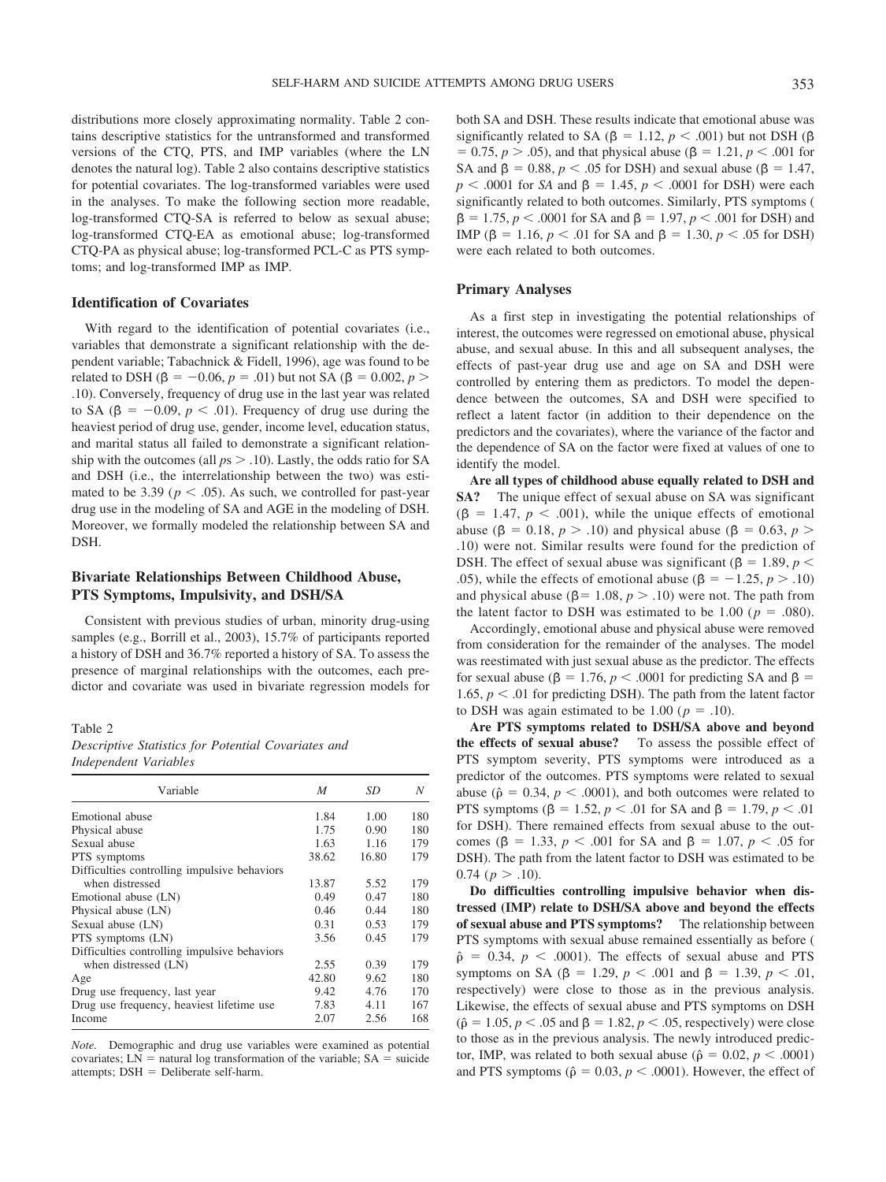distributions more closely approximating normality. Table 2 contains descriptive statistics for the untransformed and transformed versions of the CTQ, PTS, and IMP variables (where the LN denotes the natural log). Table 2 also contains descriptive statistics for potential covariates. The log-transformed variables were used in the analyses. To make the following section more readable, log-transformed CTQ-SA is referred to below as sexual abuse; log-transformed CTQ-EA as emotional abuse; log-transformed CTQ-PA as physical abuse; log-transformed PCL-C as PTS symptoms; and log-transformed IMP as IMP.

## **Identification of Covariates**

With regard to the identification of potential covariates (i.e., variables that demonstrate a significant relationship with the dependent variable; Tabachnick & Fidell, 1996), age was found to be related to DSH ( $\beta$  = -0.06, *p* = .01) but not SA ( $\beta$  = 0.002, *p* > .10). Conversely, frequency of drug use in the last year was related to SA ( $\beta$  = -0.09,  $p < .01$ ). Frequency of drug use during the heaviest period of drug use, gender, income level, education status, and marital status all failed to demonstrate a significant relationship with the outcomes (all  $ps > .10$ ). Lastly, the odds ratio for SA and DSH (i.e., the interrelationship between the two) was estimated to be 3.39 ( $p < .05$ ). As such, we controlled for past-year drug use in the modeling of SA and AGE in the modeling of DSH. Moreover, we formally modeled the relationship between SA and DSH.

# **Bivariate Relationships Between Childhood Abuse, PTS Symptoms, Impulsivity, and DSH/SA**

Consistent with previous studies of urban, minority drug-using samples (e.g., Borrill et al., 2003), 15.7% of participants reported a history of DSH and 36.7% reported a history of SA. To assess the presence of marginal relationships with the outcomes, each predictor and covariate was used in bivariate regression models for

Table 2 *Descriptive Statistics for Potential Covariates and Independent Variables*

| Variable                                     | M     | SD    | N   |
|----------------------------------------------|-------|-------|-----|
| Emotional abuse                              | 1.84  | 1.00  | 180 |
| Physical abuse                               | 1.75  | 0.90  | 180 |
| Sexual abuse                                 | 1.63  | 1.16  | 179 |
| PTS symptoms                                 | 38.62 | 16.80 | 179 |
| Difficulties controlling impulsive behaviors |       |       |     |
| when distressed                              | 13.87 | 5.52  | 179 |
| Emotional abuse (LN)                         | 0.49  | 0.47  | 180 |
| Physical abuse (LN)                          | 0.46  | 0.44  | 180 |
| Sexual abuse (LN)                            | 0.31  | 0.53  | 179 |
| PTS symptoms (LN)                            | 3.56  | 0.45  | 179 |
| Difficulties controlling impulsive behaviors |       |       |     |
| when distressed (LN)                         | 2.55  | 0.39  | 179 |
| Age                                          | 42.80 | 9.62  | 180 |
| Drug use frequency, last year                | 9.42  | 4.76  | 170 |
| Drug use frequency, heaviest lifetime use    | 7.83  | 4.11  | 167 |
| Income                                       | 2.07  | 2.56  | 168 |

*Note.* Demographic and drug use variables were examined as potential covariates;  $LN =$  natural log transformation of the variable;  $SA =$  suicide attempts;  $DSH = Deliberate self-harm$ .

both SA and DSH. These results indicate that emotional abuse was significantly related to SA ( $\beta = 1.12$ ,  $p < .001$ ) but not DSH ( $\beta$  $= 0.75, p > .05$ ), and that physical abuse ( $\beta = 1.21, p < .001$  for SA and  $\beta = 0.88$ ,  $p < .05$  for DSH) and sexual abuse ( $\beta = 1.47$ ,  $p \leq 0.0001$  for *SA* and  $\beta = 1.45$ ,  $p \leq 0.0001$  for DSH) were each significantly related to both outcomes. Similarly, PTS symptoms (  $\beta = 1.75, p < .0001$  for SA and  $\beta = 1.97, p < .001$  for DSH) and IMP (β = 1.16, *p* < .01 for SA and β = 1.30, *p* < .05 for DSH) were each related to both outcomes.

#### **Primary Analyses**

As a first step in investigating the potential relationships of interest, the outcomes were regressed on emotional abuse, physical abuse, and sexual abuse. In this and all subsequent analyses, the effects of past-year drug use and age on SA and DSH were controlled by entering them as predictors. To model the dependence between the outcomes, SA and DSH were specified to reflect a latent factor (in addition to their dependence on the predictors and the covariates), where the variance of the factor and the dependence of SA on the factor were fixed at values of one to identify the model.

**Are all types of childhood abuse equally related to DSH and SA?** The unique effect of sexual abuse on SA was significant  $(\beta = 1.47, p < .001)$ , while the unique effects of emotional abuse ( $\beta = 0.18$ ,  $p > .10$ ) and physical abuse ( $\beta = 0.63$ ,  $p >$ .10) were not. Similar results were found for the prediction of DSH. The effect of sexual abuse was significant ( $\beta = 1.89$ ,  $p <$ .05), while the effects of emotional abuse ( $\beta = -1.25$ ,  $p > .10$ ) and physical abuse ( $\beta$  = 1.08,  $p > 0.10$ ) were not. The path from the latent factor to DSH was estimated to be 1.00 ( $p = .080$ ).

Accordingly, emotional abuse and physical abuse were removed from consideration for the remainder of the analyses. The model was reestimated with just sexual abuse as the predictor. The effects for sexual abuse ( $\beta = 1.76$ ,  $p < .0001$  for predicting SA and  $\beta =$ 1.65,  $p < 0.01$  for predicting DSH). The path from the latent factor to DSH was again estimated to be 1.00 ( $p = .10$ ).

**Are PTS symptoms related to DSH/SA above and beyond the effects of sexual abuse?** To assess the possible effect of PTS symptom severity, PTS symptoms were introduced as a predictor of the outcomes. PTS symptoms were related to sexual abuse ( $\hat{\rho} = 0.34$ ,  $p < .0001$ ), and both outcomes were related to PTS symptoms ( $\beta = 1.52, p < .01$  for SA and  $\beta = 1.79, p < .01$ for DSH). There remained effects from sexual abuse to the outcomes ( $\beta = 1.33, p < .001$  for SA and  $\beta = 1.07, p < .05$  for DSH). The path from the latent factor to DSH was estimated to be  $0.74$  ( $p > .10$ ).

**Do difficulties controlling impulsive behavior when distressed (IMP) relate to DSH/SA above and beyond the effects of sexual abuse and PTS symptoms?** The relationship between PTS symptoms with sexual abuse remained essentially as before (  $\hat{\rho}$  = 0.34,  $p$  < .0001). The effects of sexual abuse and PTS symptoms on SA ( $\beta = 1.29$ ,  $p < .001$  and  $\beta = 1.39$ ,  $p < .01$ , respectively) were close to those as in the previous analysis. Likewise, the effects of sexual abuse and PTS symptoms on DSH  $(\hat{\rho} = 1.05, p < .05$  and  $\beta = 1.82, p < .05$ , respectively) were close to those as in the previous analysis. The newly introduced predictor, IMP, was related to both sexual abuse ( $\hat{\rho} = 0.02, p < .0001$ ) and PTS symptoms ( $\hat{\rho} = 0.03$ ,  $p < .0001$ ). However, the effect of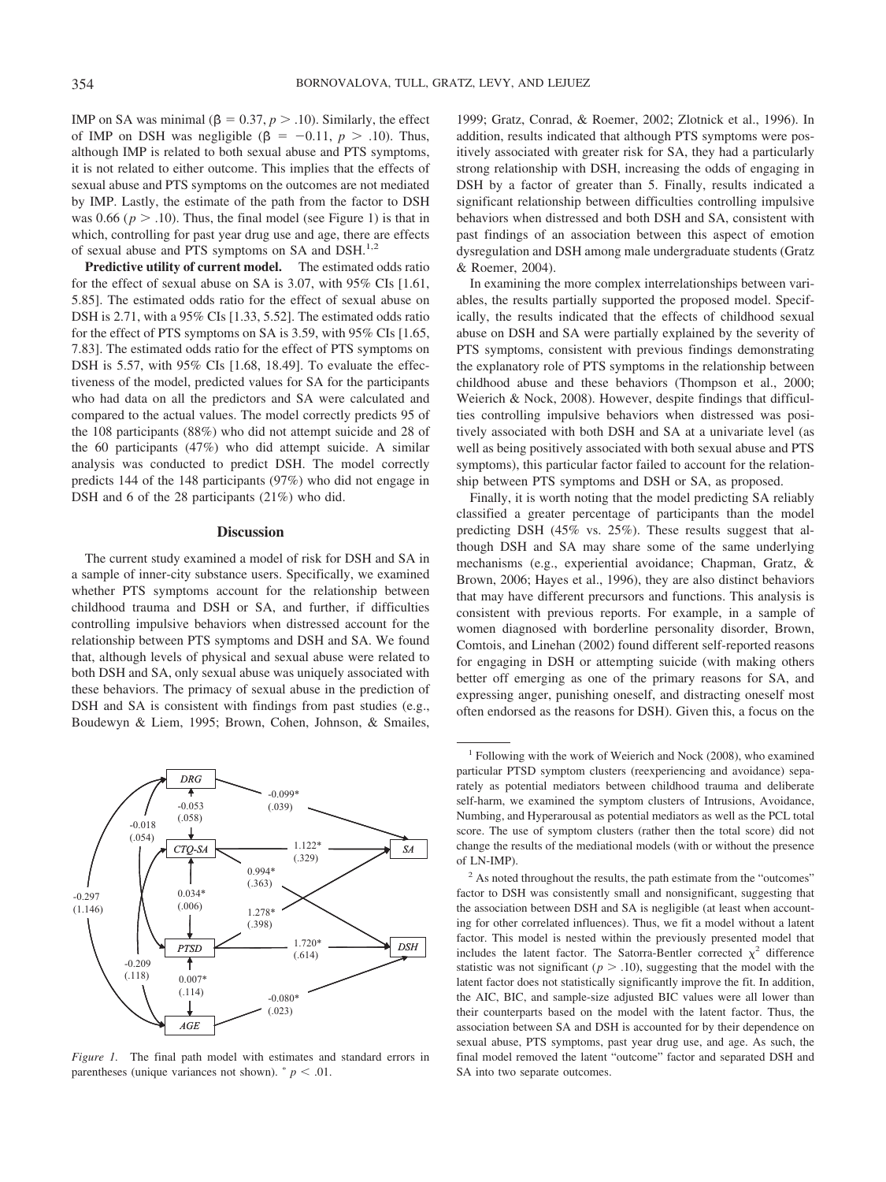IMP on SA was minimal ( $\beta = 0.37, p > 0.10$ ). Similarly, the effect of IMP on DSH was negligible ( $\beta = -0.11$ ,  $p > .10$ ). Thus, although IMP is related to both sexual abuse and PTS symptoms, it is not related to either outcome. This implies that the effects of sexual abuse and PTS symptoms on the outcomes are not mediated by IMP. Lastly, the estimate of the path from the factor to DSH was 0.66 ( $p > 0.10$ ). Thus, the final model (see Figure 1) is that in which, controlling for past year drug use and age, there are effects of sexual abuse and PTS symptoms on SA and DSH.<sup>1,2</sup>

**Predictive utility of current model.** The estimated odds ratio for the effect of sexual abuse on SA is 3.07, with 95% CIs [1.61, 5.85]. The estimated odds ratio for the effect of sexual abuse on DSH is 2.71, with a 95% CIs [1.33, 5.52]. The estimated odds ratio for the effect of PTS symptoms on SA is 3.59, with 95% CIs [1.65, 7.83]. The estimated odds ratio for the effect of PTS symptoms on DSH is 5.57, with 95% CIs [1.68, 18.49]. To evaluate the effectiveness of the model, predicted values for SA for the participants who had data on all the predictors and SA were calculated and compared to the actual values. The model correctly predicts 95 of the 108 participants (88%) who did not attempt suicide and 28 of the 60 participants (47%) who did attempt suicide. A similar analysis was conducted to predict DSH. The model correctly predicts 144 of the 148 participants (97%) who did not engage in DSH and 6 of the 28 participants (21%) who did.

# **Discussion**

The current study examined a model of risk for DSH and SA in a sample of inner-city substance users. Specifically, we examined whether PTS symptoms account for the relationship between childhood trauma and DSH or SA, and further, if difficulties controlling impulsive behaviors when distressed account for the relationship between PTS symptoms and DSH and SA. We found that, although levels of physical and sexual abuse were related to both DSH and SA, only sexual abuse was uniquely associated with these behaviors. The primacy of sexual abuse in the prediction of DSH and SA is consistent with findings from past studies (e.g., Boudewyn & Liem, 1995; Brown, Cohen, Johnson, & Smailes,



*Figure 1.* The final path model with estimates and standard errors in parentheses (unique variances not shown).  $\degree p < .01$ .

1999; Gratz, Conrad, & Roemer, 2002; Zlotnick et al., 1996). In addition, results indicated that although PTS symptoms were positively associated with greater risk for SA, they had a particularly strong relationship with DSH, increasing the odds of engaging in DSH by a factor of greater than 5. Finally, results indicated a significant relationship between difficulties controlling impulsive behaviors when distressed and both DSH and SA, consistent with past findings of an association between this aspect of emotion dysregulation and DSH among male undergraduate students (Gratz & Roemer, 2004).

In examining the more complex interrelationships between variables, the results partially supported the proposed model. Specifically, the results indicated that the effects of childhood sexual abuse on DSH and SA were partially explained by the severity of PTS symptoms, consistent with previous findings demonstrating the explanatory role of PTS symptoms in the relationship between childhood abuse and these behaviors (Thompson et al., 2000; Weierich & Nock, 2008). However, despite findings that difficulties controlling impulsive behaviors when distressed was positively associated with both DSH and SA at a univariate level (as well as being positively associated with both sexual abuse and PTS symptoms), this particular factor failed to account for the relationship between PTS symptoms and DSH or SA, as proposed.

Finally, it is worth noting that the model predicting SA reliably classified a greater percentage of participants than the model predicting DSH (45% vs. 25%). These results suggest that although DSH and SA may share some of the same underlying mechanisms (e.g., experiential avoidance; Chapman, Gratz, & Brown, 2006; Hayes et al., 1996), they are also distinct behaviors that may have different precursors and functions. This analysis is consistent with previous reports. For example, in a sample of women diagnosed with borderline personality disorder, Brown, Comtois, and Linehan (2002) found different self-reported reasons for engaging in DSH or attempting suicide (with making others better off emerging as one of the primary reasons for SA, and expressing anger, punishing oneself, and distracting oneself most often endorsed as the reasons for DSH). Given this, a focus on the

<sup>&</sup>lt;sup>1</sup> Following with the work of Weierich and Nock (2008), who examined particular PTSD symptom clusters (reexperiencing and avoidance) separately as potential mediators between childhood trauma and deliberate self-harm, we examined the symptom clusters of Intrusions, Avoidance, Numbing, and Hyperarousal as potential mediators as well as the PCL total score. The use of symptom clusters (rather then the total score) did not change the results of the mediational models (with or without the presence of LN-IMP).

 $2$  As noted throughout the results, the path estimate from the "outcomes" factor to DSH was consistently small and nonsignificant, suggesting that the association between DSH and SA is negligible (at least when accounting for other correlated influences). Thus, we fit a model without a latent factor. This model is nested within the previously presented model that includes the latent factor. The Satorra-Bentler corrected  $\chi^2$  difference statistic was not significant ( $p > .10$ ), suggesting that the model with the latent factor does not statistically significantly improve the fit. In addition, the AIC, BIC, and sample-size adjusted BIC values were all lower than their counterparts based on the model with the latent factor. Thus, the association between SA and DSH is accounted for by their dependence on sexual abuse, PTS symptoms, past year drug use, and age. As such, the final model removed the latent "outcome" factor and separated DSH and SA into two separate outcomes.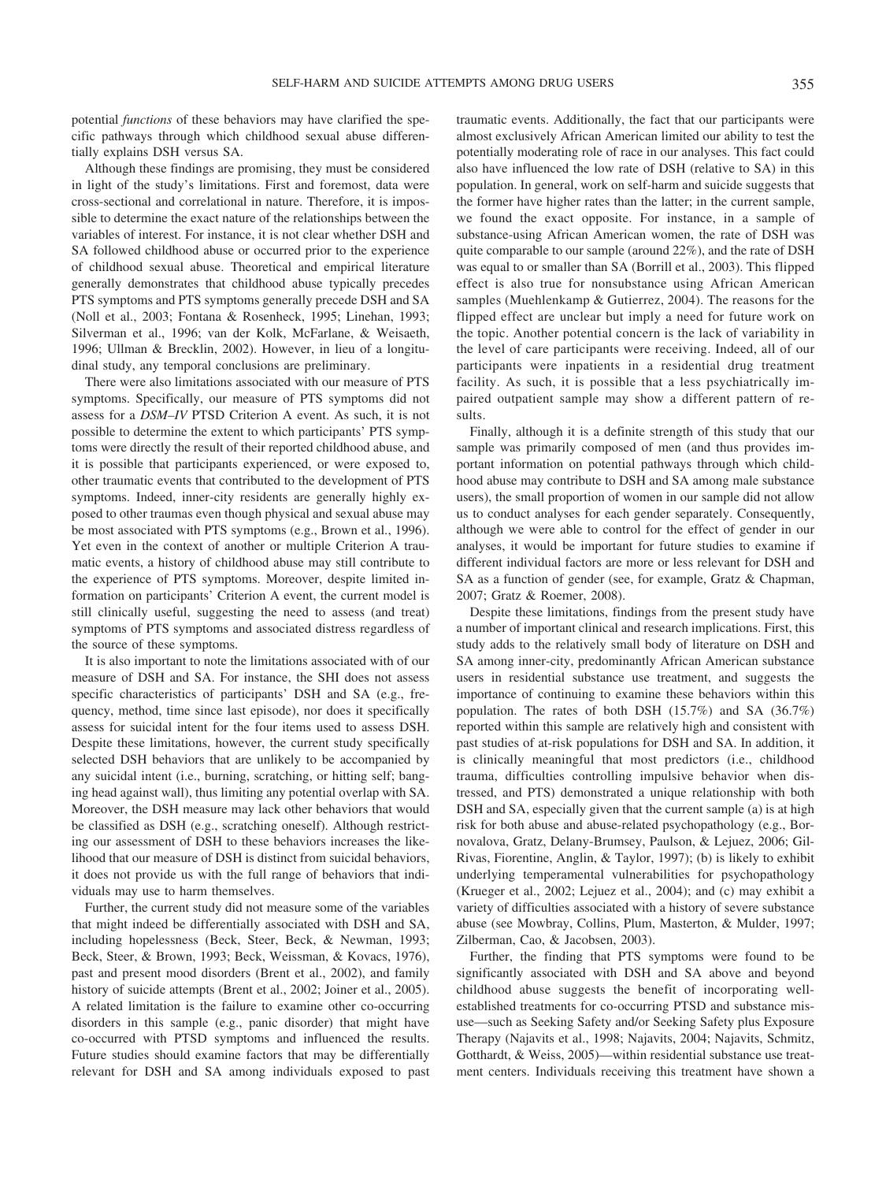potential *functions* of these behaviors may have clarified the specific pathways through which childhood sexual abuse differentially explains DSH versus SA.

Although these findings are promising, they must be considered in light of the study's limitations. First and foremost, data were cross-sectional and correlational in nature. Therefore, it is impossible to determine the exact nature of the relationships between the variables of interest. For instance, it is not clear whether DSH and SA followed childhood abuse or occurred prior to the experience of childhood sexual abuse. Theoretical and empirical literature generally demonstrates that childhood abuse typically precedes PTS symptoms and PTS symptoms generally precede DSH and SA (Noll et al., 2003; Fontana & Rosenheck, 1995; Linehan, 1993; Silverman et al., 1996; van der Kolk, McFarlane, & Weisaeth, 1996; Ullman & Brecklin, 2002). However, in lieu of a longitudinal study, any temporal conclusions are preliminary.

There were also limitations associated with our measure of PTS symptoms. Specifically, our measure of PTS symptoms did not assess for a *DSM–IV* PTSD Criterion A event. As such, it is not possible to determine the extent to which participants' PTS symptoms were directly the result of their reported childhood abuse, and it is possible that participants experienced, or were exposed to, other traumatic events that contributed to the development of PTS symptoms. Indeed, inner-city residents are generally highly exposed to other traumas even though physical and sexual abuse may be most associated with PTS symptoms (e.g., Brown et al., 1996). Yet even in the context of another or multiple Criterion A traumatic events, a history of childhood abuse may still contribute to the experience of PTS symptoms. Moreover, despite limited information on participants' Criterion A event, the current model is still clinically useful, suggesting the need to assess (and treat) symptoms of PTS symptoms and associated distress regardless of the source of these symptoms.

It is also important to note the limitations associated with of our measure of DSH and SA. For instance, the SHI does not assess specific characteristics of participants' DSH and SA (e.g., frequency, method, time since last episode), nor does it specifically assess for suicidal intent for the four items used to assess DSH. Despite these limitations, however, the current study specifically selected DSH behaviors that are unlikely to be accompanied by any suicidal intent (i.e., burning, scratching, or hitting self; banging head against wall), thus limiting any potential overlap with SA. Moreover, the DSH measure may lack other behaviors that would be classified as DSH (e.g., scratching oneself). Although restricting our assessment of DSH to these behaviors increases the likelihood that our measure of DSH is distinct from suicidal behaviors, it does not provide us with the full range of behaviors that individuals may use to harm themselves.

Further, the current study did not measure some of the variables that might indeed be differentially associated with DSH and SA, including hopelessness (Beck, Steer, Beck, & Newman, 1993; Beck, Steer, & Brown, 1993; Beck, Weissman, & Kovacs, 1976), past and present mood disorders (Brent et al., 2002), and family history of suicide attempts (Brent et al., 2002; Joiner et al., 2005). A related limitation is the failure to examine other co-occurring disorders in this sample (e.g., panic disorder) that might have co-occurred with PTSD symptoms and influenced the results. Future studies should examine factors that may be differentially relevant for DSH and SA among individuals exposed to past traumatic events. Additionally, the fact that our participants were almost exclusively African American limited our ability to test the potentially moderating role of race in our analyses. This fact could also have influenced the low rate of DSH (relative to SA) in this population. In general, work on self-harm and suicide suggests that the former have higher rates than the latter; in the current sample, we found the exact opposite. For instance, in a sample of substance-using African American women, the rate of DSH was quite comparable to our sample (around 22%), and the rate of DSH was equal to or smaller than SA (Borrill et al., 2003). This flipped effect is also true for nonsubstance using African American samples (Muehlenkamp & Gutierrez, 2004). The reasons for the flipped effect are unclear but imply a need for future work on the topic. Another potential concern is the lack of variability in the level of care participants were receiving. Indeed, all of our participants were inpatients in a residential drug treatment facility. As such, it is possible that a less psychiatrically impaired outpatient sample may show a different pattern of results.

Finally, although it is a definite strength of this study that our sample was primarily composed of men (and thus provides important information on potential pathways through which childhood abuse may contribute to DSH and SA among male substance users), the small proportion of women in our sample did not allow us to conduct analyses for each gender separately. Consequently, although we were able to control for the effect of gender in our analyses, it would be important for future studies to examine if different individual factors are more or less relevant for DSH and SA as a function of gender (see, for example, Gratz & Chapman, 2007; Gratz & Roemer, 2008).

Despite these limitations, findings from the present study have a number of important clinical and research implications. First, this study adds to the relatively small body of literature on DSH and SA among inner-city, predominantly African American substance users in residential substance use treatment, and suggests the importance of continuing to examine these behaviors within this population. The rates of both DSH (15.7%) and SA (36.7%) reported within this sample are relatively high and consistent with past studies of at-risk populations for DSH and SA. In addition, it is clinically meaningful that most predictors (i.e., childhood trauma, difficulties controlling impulsive behavior when distressed, and PTS) demonstrated a unique relationship with both DSH and SA, especially given that the current sample (a) is at high risk for both abuse and abuse-related psychopathology (e.g., Bornovalova, Gratz, Delany-Brumsey, Paulson, & Lejuez, 2006; Gil-Rivas, Fiorentine, Anglin, & Taylor, 1997); (b) is likely to exhibit underlying temperamental vulnerabilities for psychopathology (Krueger et al., 2002; Lejuez et al., 2004); and (c) may exhibit a variety of difficulties associated with a history of severe substance abuse (see Mowbray, Collins, Plum, Masterton, & Mulder, 1997; Zilberman, Cao, & Jacobsen, 2003).

Further, the finding that PTS symptoms were found to be significantly associated with DSH and SA above and beyond childhood abuse suggests the benefit of incorporating wellestablished treatments for co-occurring PTSD and substance misuse—such as Seeking Safety and/or Seeking Safety plus Exposure Therapy (Najavits et al., 1998; Najavits, 2004; Najavits, Schmitz, Gotthardt, & Weiss, 2005)—within residential substance use treatment centers. Individuals receiving this treatment have shown a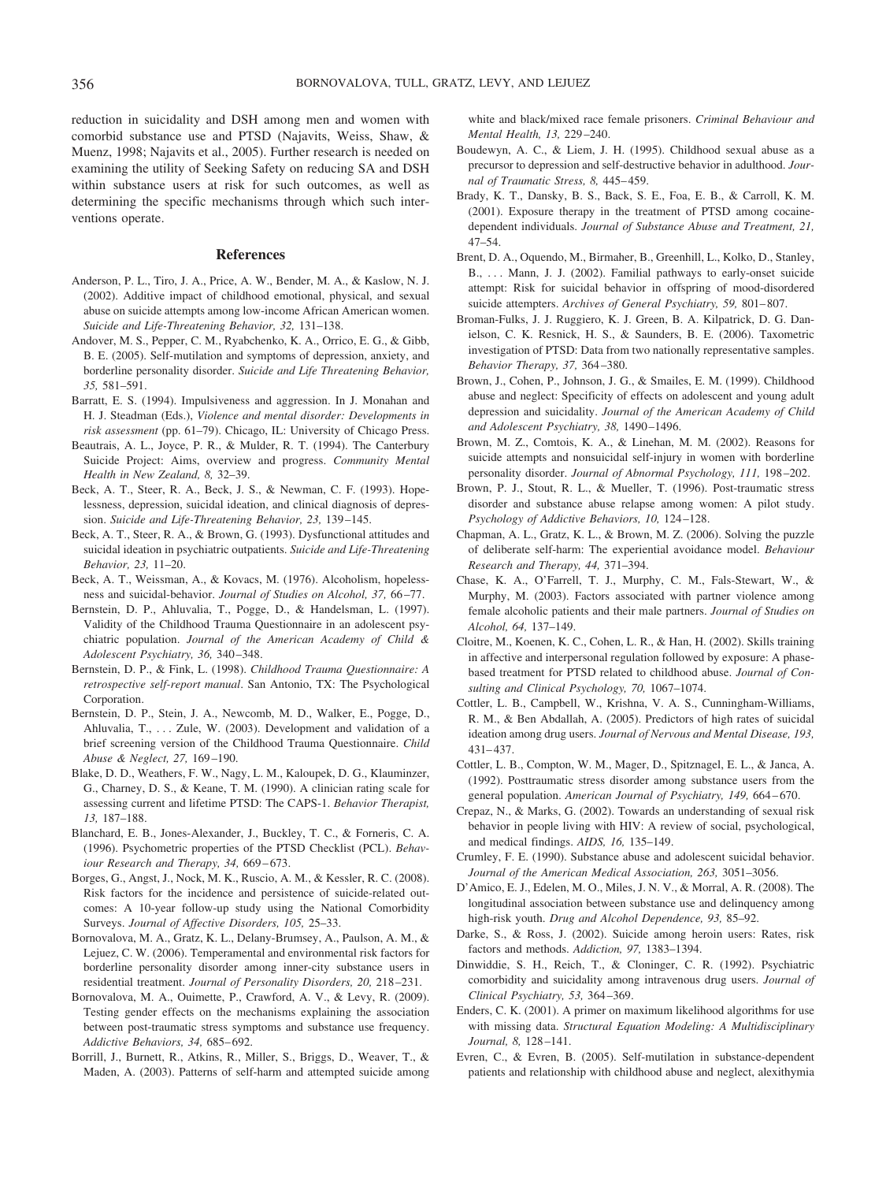reduction in suicidality and DSH among men and women with comorbid substance use and PTSD (Najavits, Weiss, Shaw, & Muenz, 1998; Najavits et al., 2005). Further research is needed on examining the utility of Seeking Safety on reducing SA and DSH within substance users at risk for such outcomes, as well as determining the specific mechanisms through which such interventions operate.

#### **References**

- Anderson, P. L., Tiro, J. A., Price, A. W., Bender, M. A., & Kaslow, N. J. (2002). Additive impact of childhood emotional, physical, and sexual abuse on suicide attempts among low-income African American women. *Suicide and Life-Threatening Behavior, 32,* 131–138.
- Andover, M. S., Pepper, C. M., Ryabchenko, K. A., Orrico, E. G., & Gibb, B. E. (2005). Self-mutilation and symptoms of depression, anxiety, and borderline personality disorder. *Suicide and Life Threatening Behavior, 35,* 581–591.
- Barratt, E. S. (1994). Impulsiveness and aggression. In J. Monahan and H. J. Steadman (Eds.), *Violence and mental disorder: Developments in risk assessment* (pp. 61–79). Chicago, IL: University of Chicago Press.
- Beautrais, A. L., Joyce, P. R., & Mulder, R. T. (1994). The Canterbury Suicide Project: Aims, overview and progress. *Community Mental Health in New Zealand, 8,* 32–39.
- Beck, A. T., Steer, R. A., Beck, J. S., & Newman, C. F. (1993). Hopelessness, depression, suicidal ideation, and clinical diagnosis of depression. *Suicide and Life-Threatening Behavior, 23,* 139 –145.
- Beck, A. T., Steer, R. A., & Brown, G. (1993). Dysfunctional attitudes and suicidal ideation in psychiatric outpatients. *Suicide and Life-Threatening Behavior, 23,* 11–20.
- Beck, A. T., Weissman, A., & Kovacs, M. (1976). Alcoholism, hopelessness and suicidal-behavior. *Journal of Studies on Alcohol, 37,* 66 –77.
- Bernstein, D. P., Ahluvalia, T., Pogge, D., & Handelsman, L. (1997). Validity of the Childhood Trauma Questionnaire in an adolescent psychiatric population. *Journal of the American Academy of Child & Adolescent Psychiatry, 36,* 340 –348.
- Bernstein, D. P., & Fink, L. (1998). *Childhood Trauma Questionnaire: A retrospective self-report manual*. San Antonio, TX: The Psychological Corporation.
- Bernstein, D. P., Stein, J. A., Newcomb, M. D., Walker, E., Pogge, D., Ahluvalia, T., . . . Zule, W. (2003). Development and validation of a brief screening version of the Childhood Trauma Questionnaire. *Child Abuse & Neglect, 27,* 169 –190.
- Blake, D. D., Weathers, F. W., Nagy, L. M., Kaloupek, D. G., Klauminzer, G., Charney, D. S., & Keane, T. M. (1990). A clinician rating scale for assessing current and lifetime PTSD: The CAPS-1. *Behavior Therapist, 13,* 187–188.
- Blanchard, E. B., Jones-Alexander, J., Buckley, T. C., & Forneris, C. A. (1996). Psychometric properties of the PTSD Checklist (PCL). *Behaviour Research and Therapy, 34, 669-673.*
- Borges, G., Angst, J., Nock, M. K., Ruscio, A. M., & Kessler, R. C. (2008). Risk factors for the incidence and persistence of suicide-related outcomes: A 10-year follow-up study using the National Comorbidity Surveys. *Journal of Affective Disorders, 105,* 25–33.
- Bornovalova, M. A., Gratz, K. L., Delany-Brumsey, A., Paulson, A. M., & Lejuez, C. W. (2006). Temperamental and environmental risk factors for borderline personality disorder among inner-city substance users in residential treatment. *Journal of Personality Disorders, 20,* 218 –231.
- Bornovalova, M. A., Ouimette, P., Crawford, A. V., & Levy, R. (2009). Testing gender effects on the mechanisms explaining the association between post-traumatic stress symptoms and substance use frequency. *Addictive Behaviors, 34,* 685– 692.
- Borrill, J., Burnett, R., Atkins, R., Miller, S., Briggs, D., Weaver, T., & Maden, A. (2003). Patterns of self-harm and attempted suicide among

white and black/mixed race female prisoners. *Criminal Behaviour and Mental Health, 13,* 229 –240.

- Boudewyn, A. C., & Liem, J. H. (1995). Childhood sexual abuse as a precursor to depression and self-destructive behavior in adulthood. *Journal of Traumatic Stress, 8,* 445– 459.
- Brady, K. T., Dansky, B. S., Back, S. E., Foa, E. B., & Carroll, K. M. (2001). Exposure therapy in the treatment of PTSD among cocainedependent individuals. *Journal of Substance Abuse and Treatment, 21,* 47–54.
- Brent, D. A., Oquendo, M., Birmaher, B., Greenhill, L., Kolko, D., Stanley, B., . . . Mann, J. J. (2002). Familial pathways to early-onset suicide attempt: Risk for suicidal behavior in offspring of mood-disordered suicide attempters. *Archives of General Psychiatry, 59, 801-807*.
- Broman-Fulks, J. J. Ruggiero, K. J. Green, B. A. Kilpatrick, D. G. Danielson, C. K. Resnick, H. S., & Saunders, B. E. (2006). Taxometric investigation of PTSD: Data from two nationally representative samples. *Behavior Therapy, 37,* 364 –380.
- Brown, J., Cohen, P., Johnson, J. G., & Smailes, E. M. (1999). Childhood abuse and neglect: Specificity of effects on adolescent and young adult depression and suicidality. *Journal of the American Academy of Child and Adolescent Psychiatry, 38,* 1490 –1496.
- Brown, M. Z., Comtois, K. A., & Linehan, M. M. (2002). Reasons for suicide attempts and nonsuicidal self-injury in women with borderline personality disorder. *Journal of Abnormal Psychology, 111,* 198 –202.
- Brown, P. J., Stout, R. L., & Mueller, T. (1996). Post-traumatic stress disorder and substance abuse relapse among women: A pilot study. *Psychology of Addictive Behaviors, 10,* 124 –128.
- Chapman, A. L., Gratz, K. L., & Brown, M. Z. (2006). Solving the puzzle of deliberate self-harm: The experiential avoidance model. *Behaviour Research and Therapy, 44,* 371–394.
- Chase, K. A., O'Farrell, T. J., Murphy, C. M., Fals-Stewart, W., & Murphy, M. (2003). Factors associated with partner violence among female alcoholic patients and their male partners. *Journal of Studies on Alcohol, 64,* 137–149.
- Cloitre, M., Koenen, K. C., Cohen, L. R., & Han, H. (2002). Skills training in affective and interpersonal regulation followed by exposure: A phasebased treatment for PTSD related to childhood abuse. *Journal of Consulting and Clinical Psychology, 70,* 1067–1074.
- Cottler, L. B., Campbell, W., Krishna, V. A. S., Cunningham-Williams, R. M., & Ben Abdallah, A. (2005). Predictors of high rates of suicidal ideation among drug users. *Journal of Nervous and Mental Disease, 193,* 431– 437.
- Cottler, L. B., Compton, W. M., Mager, D., Spitznagel, E. L., & Janca, A. (1992). Posttraumatic stress disorder among substance users from the general population. American Journal of Psychiatry, 149, 664-670.
- Crepaz, N., & Marks, G. (2002). Towards an understanding of sexual risk behavior in people living with HIV: A review of social, psychological, and medical findings. *AIDS, 16,* 135–149.
- Crumley, F. E. (1990). Substance abuse and adolescent suicidal behavior. *Journal of the American Medical Association, 263,* 3051–3056.
- D'Amico, E. J., Edelen, M. O., Miles, J. N. V., & Morral, A. R. (2008). The longitudinal association between substance use and delinquency among high-risk youth. *Drug and Alcohol Dependence, 93,* 85–92.
- Darke, S., & Ross, J. (2002). Suicide among heroin users: Rates, risk factors and methods. *Addiction, 97,* 1383–1394.
- Dinwiddie, S. H., Reich, T., & Cloninger, C. R. (1992). Psychiatric comorbidity and suicidality among intravenous drug users. *Journal of Clinical Psychiatry, 53,* 364 –369.
- Enders, C. K. (2001). A primer on maximum likelihood algorithms for use with missing data. *Structural Equation Modeling: A Multidisciplinary Journal, 8,* 128 –141.
- Evren, C., & Evren, B. (2005). Self-mutilation in substance-dependent patients and relationship with childhood abuse and neglect, alexithymia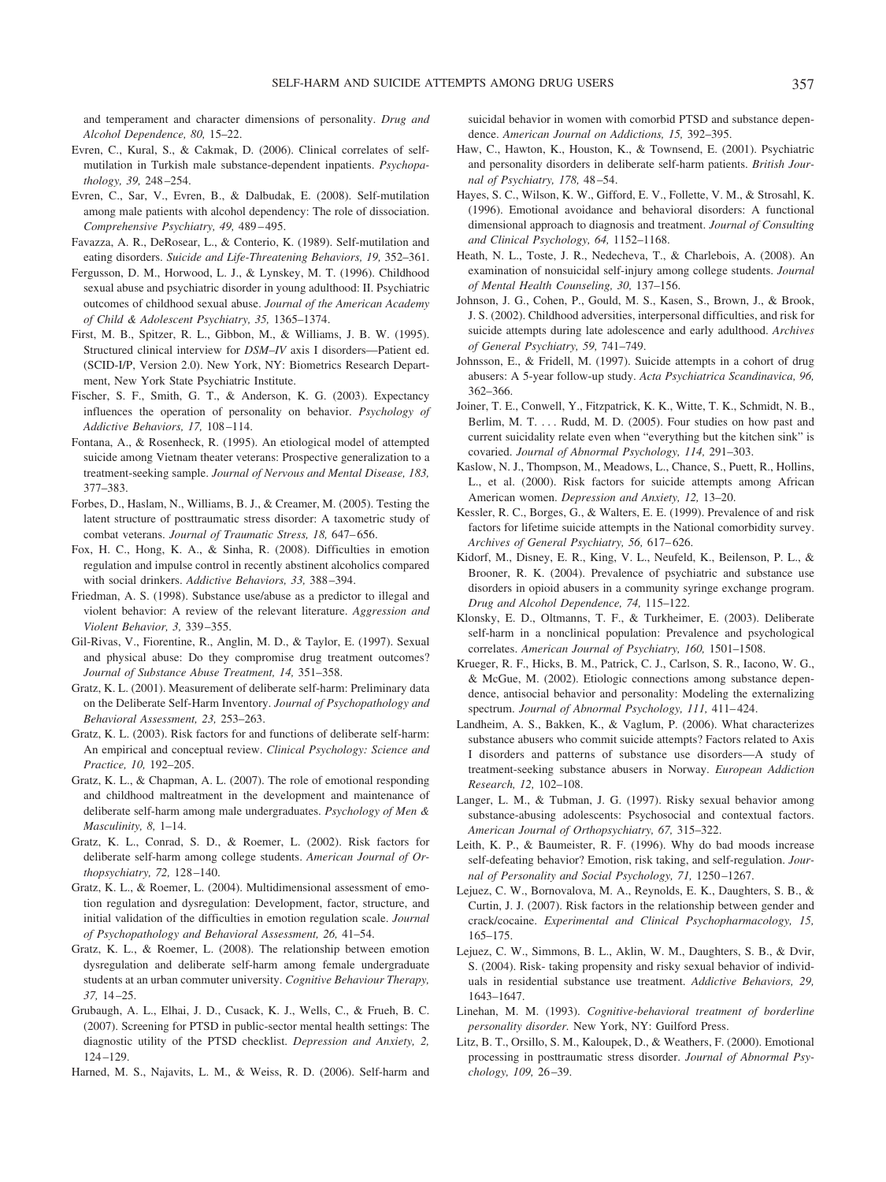and temperament and character dimensions of personality. *Drug and Alcohol Dependence, 80,* 15–22.

- Evren, C., Kural, S., & Cakmak, D. (2006). Clinical correlates of selfmutilation in Turkish male substance-dependent inpatients. *Psychopathology, 39,* 248 –254.
- Evren, C., Sar, V., Evren, B., & Dalbudak, E. (2008). Self-mutilation among male patients with alcohol dependency: The role of dissociation. *Comprehensive Psychiatry, 49,* 489 – 495.
- Favazza, A. R., DeRosear, L., & Conterio, K. (1989). Self-mutilation and eating disorders. *Suicide and Life-Threatening Behaviors, 19,* 352–361.
- Fergusson, D. M., Horwood, L. J., & Lynskey, M. T. (1996). Childhood sexual abuse and psychiatric disorder in young adulthood: II. Psychiatric outcomes of childhood sexual abuse. *Journal of the American Academy of Child & Adolescent Psychiatry, 35,* 1365–1374.
- First, M. B., Spitzer, R. L., Gibbon, M., & Williams, J. B. W. (1995). Structured clinical interview for *DSM–IV* axis I disorders—Patient ed. (SCID-I/P, Version 2.0). New York, NY: Biometrics Research Department, New York State Psychiatric Institute.
- Fischer, S. F., Smith, G. T., & Anderson, K. G. (2003). Expectancy influences the operation of personality on behavior. *Psychology of Addictive Behaviors, 17,* 108 –114.
- Fontana, A., & Rosenheck, R. (1995). An etiological model of attempted suicide among Vietnam theater veterans: Prospective generalization to a treatment-seeking sample. *Journal of Nervous and Mental Disease, 183,* 377–383.
- Forbes, D., Haslam, N., Williams, B. J., & Creamer, M. (2005). Testing the latent structure of posttraumatic stress disorder: A taxometric study of combat veterans. *Journal of Traumatic Stress, 18, 647-656*.
- Fox, H. C., Hong, K. A., & Sinha, R. (2008). Difficulties in emotion regulation and impulse control in recently abstinent alcoholics compared with social drinkers. *Addictive Behaviors, 33,* 388 –394.
- Friedman, A. S. (1998). Substance use/abuse as a predictor to illegal and violent behavior: A review of the relevant literature. *Aggression and Violent Behavior, 3,* 339 –355.
- Gil-Rivas, V., Fiorentine, R., Anglin, M. D., & Taylor, E. (1997). Sexual and physical abuse: Do they compromise drug treatment outcomes? *Journal of Substance Abuse Treatment, 14,* 351–358.
- Gratz, K. L. (2001). Measurement of deliberate self-harm: Preliminary data on the Deliberate Self-Harm Inventory. *Journal of Psychopathology and Behavioral Assessment, 23,* 253–263.
- Gratz, K. L. (2003). Risk factors for and functions of deliberate self-harm: An empirical and conceptual review. *Clinical Psychology: Science and Practice, 10,* 192–205.
- Gratz, K. L., & Chapman, A. L. (2007). The role of emotional responding and childhood maltreatment in the development and maintenance of deliberate self-harm among male undergraduates. *Psychology of Men & Masculinity, 8,* 1–14.
- Gratz, K. L., Conrad, S. D., & Roemer, L. (2002). Risk factors for deliberate self-harm among college students. *American Journal of Orthopsychiatry, 72,* 128 –140.
- Gratz, K. L., & Roemer, L. (2004). Multidimensional assessment of emotion regulation and dysregulation: Development, factor, structure, and initial validation of the difficulties in emotion regulation scale. *Journal of Psychopathology and Behavioral Assessment, 26,* 41–54.
- Gratz, K. L., & Roemer, L. (2008). The relationship between emotion dysregulation and deliberate self-harm among female undergraduate students at an urban commuter university. *Cognitive Behaviour Therapy, 37,* 14 –25.
- Grubaugh, A. L., Elhai, J. D., Cusack, K. J., Wells, C., & Frueh, B. C. (2007). Screening for PTSD in public-sector mental health settings: The diagnostic utility of the PTSD checklist. *Depression and Anxiety, 2,* 124 –129.
- Harned, M. S., Najavits, L. M., & Weiss, R. D. (2006). Self-harm and

suicidal behavior in women with comorbid PTSD and substance dependence. *American Journal on Addictions, 15,* 392–395.

- Haw, C., Hawton, K., Houston, K., & Townsend, E. (2001). Psychiatric and personality disorders in deliberate self-harm patients. *British Journal of Psychiatry, 178,* 48 –54.
- Hayes, S. C., Wilson, K. W., Gifford, E. V., Follette, V. M., & Strosahl, K. (1996). Emotional avoidance and behavioral disorders: A functional dimensional approach to diagnosis and treatment. *Journal of Consulting and Clinical Psychology, 64,* 1152–1168.
- Heath, N. L., Toste, J. R., Nedecheva, T., & Charlebois, A. (2008). An examination of nonsuicidal self-injury among college students. *Journal of Mental Health Counseling, 30,* 137–156.
- Johnson, J. G., Cohen, P., Gould, M. S., Kasen, S., Brown, J., & Brook, J. S. (2002). Childhood adversities, interpersonal difficulties, and risk for suicide attempts during late adolescence and early adulthood. *Archives of General Psychiatry, 59,* 741–749.
- Johnsson, E., & Fridell, M. (1997). Suicide attempts in a cohort of drug abusers: A 5-year follow-up study. *Acta Psychiatrica Scandinavica, 96,* 362–366.
- Joiner, T. E., Conwell, Y., Fitzpatrick, K. K., Witte, T. K., Schmidt, N. B., Berlim, M. T. . . . Rudd, M. D. (2005). Four studies on how past and current suicidality relate even when "everything but the kitchen sink" is covaried. *Journal of Abnormal Psychology, 114,* 291–303.
- Kaslow, N. J., Thompson, M., Meadows, L., Chance, S., Puett, R., Hollins, L., et al. (2000). Risk factors for suicide attempts among African American women. *Depression and Anxiety, 12,* 13–20.
- Kessler, R. C., Borges, G., & Walters, E. E. (1999). Prevalence of and risk factors for lifetime suicide attempts in the National comorbidity survey. *Archives of General Psychiatry, 56,* 617– 626.
- Kidorf, M., Disney, E. R., King, V. L., Neufeld, K., Beilenson, P. L., & Brooner, R. K. (2004). Prevalence of psychiatric and substance use disorders in opioid abusers in a community syringe exchange program. *Drug and Alcohol Dependence, 74,* 115–122.
- Klonsky, E. D., Oltmanns, T. F., & Turkheimer, E. (2003). Deliberate self-harm in a nonclinical population: Prevalence and psychological correlates. *American Journal of Psychiatry, 160,* 1501–1508.
- Krueger, R. F., Hicks, B. M., Patrick, C. J., Carlson, S. R., Iacono, W. G., & McGue, M. (2002). Etiologic connections among substance dependence, antisocial behavior and personality: Modeling the externalizing spectrum. *Journal of Abnormal Psychology, 111*, 411–424.
- Landheim, A. S., Bakken, K., & Vaglum, P. (2006). What characterizes substance abusers who commit suicide attempts? Factors related to Axis I disorders and patterns of substance use disorders—A study of treatment-seeking substance abusers in Norway. *European Addiction Research, 12,* 102–108.
- Langer, L. M., & Tubman, J. G. (1997). Risky sexual behavior among substance-abusing adolescents: Psychosocial and contextual factors. *American Journal of Orthopsychiatry, 67,* 315–322.
- Leith, K. P., & Baumeister, R. F. (1996). Why do bad moods increase self-defeating behavior? Emotion, risk taking, and self-regulation. *Journal of Personality and Social Psychology, 71,* 1250 –1267.
- Lejuez, C. W., Bornovalova, M. A., Reynolds, E. K., Daughters, S. B., & Curtin, J. J. (2007). Risk factors in the relationship between gender and crack/cocaine. *Experimental and Clinical Psychopharmacology, 15,* 165–175.
- Lejuez, C. W., Simmons, B. L., Aklin, W. M., Daughters, S. B., & Dvir, S. (2004). Risk- taking propensity and risky sexual behavior of individuals in residential substance use treatment. *Addictive Behaviors, 29,* 1643–1647.
- Linehan, M. M. (1993). *Cognitive-behavioral treatment of borderline personality disorder.* New York, NY: Guilford Press.
- Litz, B. T., Orsillo, S. M., Kaloupek, D., & Weathers, F. (2000). Emotional processing in posttraumatic stress disorder. *Journal of Abnormal Psychology, 109,* 26 –39.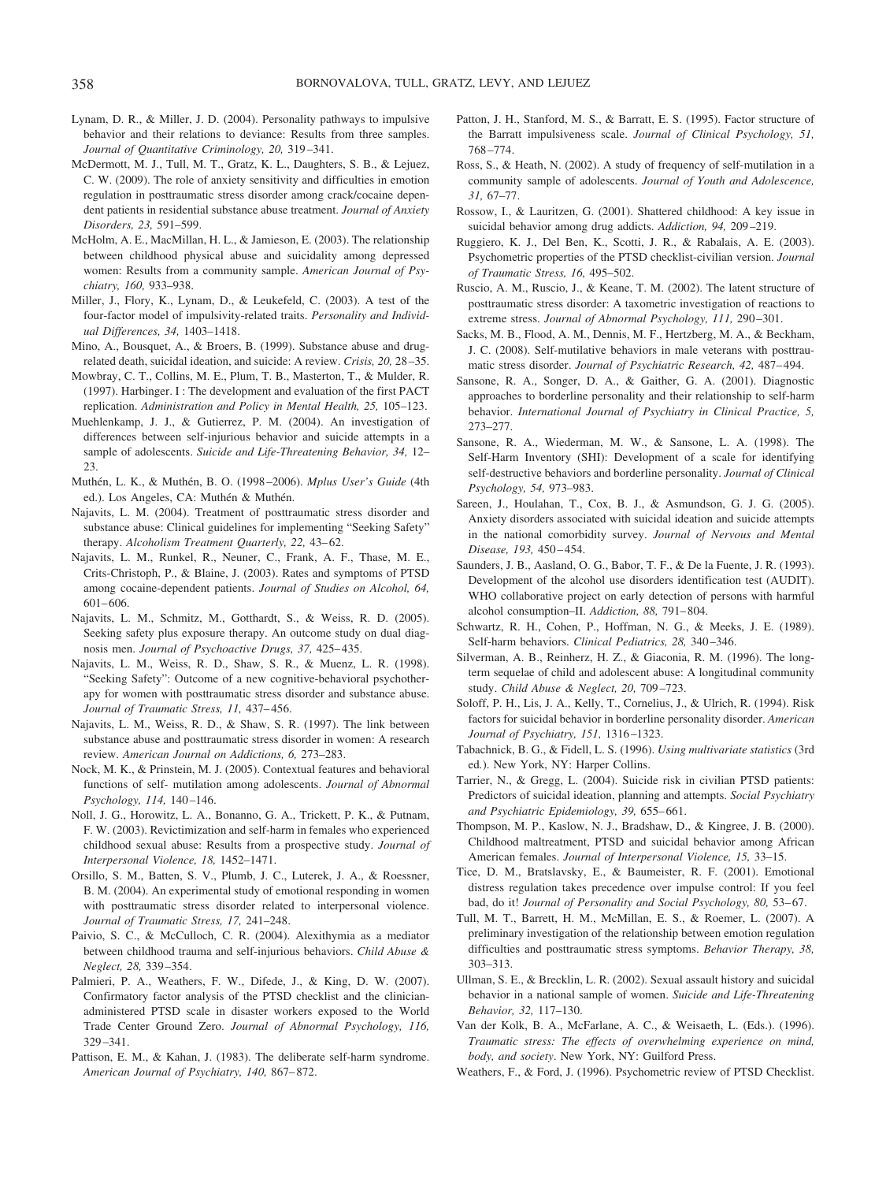- Lynam, D. R., & Miller, J. D. (2004). Personality pathways to impulsive behavior and their relations to deviance: Results from three samples. *Journal of Quantitative Criminology, 20,* 319 –341.
- McDermott, M. J., Tull, M. T., Gratz, K. L., Daughters, S. B., & Lejuez, C. W. (2009). The role of anxiety sensitivity and difficulties in emotion regulation in posttraumatic stress disorder among crack/cocaine dependent patients in residential substance abuse treatment. *Journal of Anxiety Disorders, 23,* 591–599.
- McHolm, A. E., MacMillan, H. L., & Jamieson, E. (2003). The relationship between childhood physical abuse and suicidality among depressed women: Results from a community sample. *American Journal of Psychiatry, 160,* 933–938.
- Miller, J., Flory, K., Lynam, D., & Leukefeld, C. (2003). A test of the four-factor model of impulsivity-related traits. *Personality and Individual Differences, 34,* 1403–1418.
- Mino, A., Bousquet, A., & Broers, B. (1999). Substance abuse and drugrelated death, suicidal ideation, and suicide: A review. *Crisis, 20,* 28 –35.
- Mowbray, C. T., Collins, M. E., Plum, T. B., Masterton, T., & Mulder, R. (1997). Harbinger. I : The development and evaluation of the first PACT replication. *Administration and Policy in Mental Health, 25,* 105–123.
- Muehlenkamp, J. J., & Gutierrez, P. M. (2004). An investigation of differences between self-injurious behavior and suicide attempts in a sample of adolescents. *Suicide and Life-Threatening Behavior, 34,* 12– 23.
- Muthe´n, L. K., & Muthe´n, B. O. (1998 –2006). *Mplus User's Guide* (4th ed.). Los Angeles, CA: Muthén & Muthén.
- Najavits, L. M. (2004). Treatment of posttraumatic stress disorder and substance abuse: Clinical guidelines for implementing "Seeking Safety" therapy. *Alcoholism Treatment Quarterly, 22, 43-62.*
- Najavits, L. M., Runkel, R., Neuner, C., Frank, A. F., Thase, M. E., Crits-Christoph, P., & Blaine, J. (2003). Rates and symptoms of PTSD among cocaine-dependent patients. *Journal of Studies on Alcohol, 64,* 601– 606.
- Najavits, L. M., Schmitz, M., Gotthardt, S., & Weiss, R. D. (2005). Seeking safety plus exposure therapy. An outcome study on dual diagnosis men. *Journal of Psychoactive Drugs, 37,* 425– 435.
- Najavits, L. M., Weiss, R. D., Shaw, S. R., & Muenz, L. R. (1998). "Seeking Safety": Outcome of a new cognitive-behavioral psychotherapy for women with posttraumatic stress disorder and substance abuse. *Journal of Traumatic Stress, 11,* 437– 456.
- Najavits, L. M., Weiss, R. D., & Shaw, S. R. (1997). The link between substance abuse and posttraumatic stress disorder in women: A research review. *American Journal on Addictions, 6,* 273–283.
- Nock, M. K., & Prinstein, M. J. (2005). Contextual features and behavioral functions of self- mutilation among adolescents. *Journal of Abnormal Psychology, 114,* 140 –146.
- Noll, J. G., Horowitz, L. A., Bonanno, G. A., Trickett, P. K., & Putnam, F. W. (2003). Revictimization and self-harm in females who experienced childhood sexual abuse: Results from a prospective study. *Journal of Interpersonal Violence, 18,* 1452–1471.
- Orsillo, S. M., Batten, S. V., Plumb, J. C., Luterek, J. A., & Roessner, B. M. (2004). An experimental study of emotional responding in women with posttraumatic stress disorder related to interpersonal violence. *Journal of Traumatic Stress, 17,* 241–248.
- Paivio, S. C., & McCulloch, C. R. (2004). Alexithymia as a mediator between childhood trauma and self-injurious behaviors. *Child Abuse & Neglect, 28,* 339 –354.
- Palmieri, P. A., Weathers, F. W., Difede, J., & King, D. W. (2007). Confirmatory factor analysis of the PTSD checklist and the clinicianadministered PTSD scale in disaster workers exposed to the World Trade Center Ground Zero. *Journal of Abnormal Psychology, 116,* 329 –341.
- Pattison, E. M., & Kahan, J. (1983). The deliberate self-harm syndrome. *American Journal of Psychiatry, 140,* 867– 872.
- Patton, J. H., Stanford, M. S., & Barratt, E. S. (1995). Factor structure of the Barratt impulsiveness scale. *Journal of Clinical Psychology, 51,* 768 –774.
- Ross, S., & Heath, N. (2002). A study of frequency of self-mutilation in a community sample of adolescents. *Journal of Youth and Adolescence, 31,* 67–77.
- Rossow, I., & Lauritzen, G. (2001). Shattered childhood: A key issue in suicidal behavior among drug addicts. *Addiction, 94,* 209 –219.
- Ruggiero, K. J., Del Ben, K., Scotti, J. R., & Rabalais, A. E. (2003). Psychometric properties of the PTSD checklist-civilian version. *Journal of Traumatic Stress, 16,* 495–502.
- Ruscio, A. M., Ruscio, J., & Keane, T. M. (2002). The latent structure of posttraumatic stress disorder: A taxometric investigation of reactions to extreme stress. *Journal of Abnormal Psychology, 111,* 290 –301.
- Sacks, M. B., Flood, A. M., Dennis, M. F., Hertzberg, M. A., & Beckham, J. C. (2008). Self-mutilative behaviors in male veterans with posttraumatic stress disorder. *Journal of Psychiatric Research, 42,* 487– 494.
- Sansone, R. A., Songer, D. A., & Gaither, G. A. (2001). Diagnostic approaches to borderline personality and their relationship to self-harm behavior. *International Journal of Psychiatry in Clinical Practice, 5,* 273–277.
- Sansone, R. A., Wiederman, M. W., & Sansone, L. A. (1998). The Self-Harm Inventory (SHI): Development of a scale for identifying self-destructive behaviors and borderline personality. *Journal of Clinical Psychology, 54,* 973–983.
- Sareen, J., Houlahan, T., Cox, B. J., & Asmundson, G. J. G. (2005). Anxiety disorders associated with suicidal ideation and suicide attempts in the national comorbidity survey. *Journal of Nervous and Mental Disease, 193,* 450 – 454.
- Saunders, J. B., Aasland, O. G., Babor, T. F., & De la Fuente, J. R. (1993). Development of the alcohol use disorders identification test (AUDIT). WHO collaborative project on early detection of persons with harmful alcohol consumption–II. *Addiction, 88,* 791– 804.
- Schwartz, R. H., Cohen, P., Hoffman, N. G., & Meeks, J. E. (1989). Self-harm behaviors. *Clinical Pediatrics, 28,* 340 –346.
- Silverman, A. B., Reinherz, H. Z., & Giaconia, R. M. (1996). The longterm sequelae of child and adolescent abuse: A longitudinal community study. *Child Abuse & Neglect, 20,* 709 –723.
- Soloff, P. H., Lis, J. A., Kelly, T., Cornelius, J., & Ulrich, R. (1994). Risk factors for suicidal behavior in borderline personality disorder. *American Journal of Psychiatry, 151,* 1316 –1323.
- Tabachnick, B. G., & Fidell, L. S. (1996). *Using multivariate statistics* (3rd ed*.*). New York, NY: Harper Collins.
- Tarrier, N., & Gregg, L. (2004). Suicide risk in civilian PTSD patients: Predictors of suicidal ideation, planning and attempts. *Social Psychiatry and Psychiatric Epidemiology, 39,* 655– 661.
- Thompson, M. P., Kaslow, N. J., Bradshaw, D., & Kingree, J. B. (2000). Childhood maltreatment, PTSD and suicidal behavior among African American females. *Journal of Interpersonal Violence, 15,* 33–15.
- Tice, D. M., Bratslavsky, E., & Baumeister, R. F. (2001). Emotional distress regulation takes precedence over impulse control: If you feel bad, do it! *Journal of Personality and Social Psychology, 80, 53-67.*
- Tull, M. T., Barrett, H. M., McMillan, E. S., & Roemer, L. (2007). A preliminary investigation of the relationship between emotion regulation difficulties and posttraumatic stress symptoms. *Behavior Therapy, 38,* 303–313.
- Ullman, S. E., & Brecklin, L. R. (2002). Sexual assault history and suicidal behavior in a national sample of women. *Suicide and Life-Threatening Behavior, 32,* 117–130.
- Van der Kolk, B. A., McFarlane, A. C., & Weisaeth, L. (Eds.). (1996). *Traumatic stress: The effects of overwhelming experience on mind, body, and society*. New York, NY: Guilford Press.
- Weathers, F., & Ford, J. (1996). Psychometric review of PTSD Checklist.